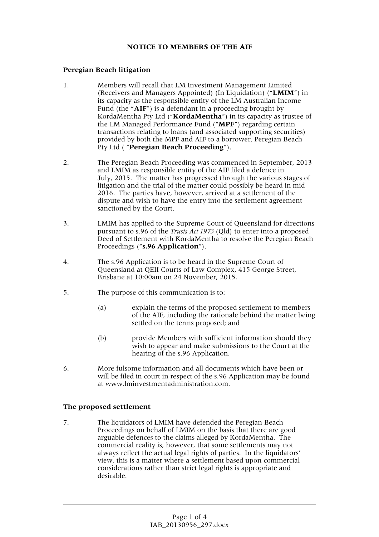## **NOTICE TO MEMBERS OF THE AIF**

## **Peregian Beach litigation**

- 1. Members will recall that LM Investment Management Limited (Receivers and Managers Appointed) (In Liquidation) ("**LMIM**") in its capacity as the responsible entity of the LM Australian Income Fund (the "**AIF**") is a defendant in a proceeding brought by KordaMentha Pty Ltd ("**KordaMentha**") in its capacity as trustee of the LM Managed Performance Fund ("**MPF**") regarding certain transactions relating to loans (and associated supporting securities) provided by both the MPF and AIF to a borrower, Peregian Beach Pty Ltd ( "**Peregian Beach Proceeding**").
- 2. The Peregian Beach Proceeding was commenced in September, 2013 and LMIM as responsible entity of the AIF filed a defence in July, 2015. The matter has progressed through the various stages of litigation and the trial of the matter could possibly be heard in mid 2016. The parties have, however, arrived at a settlement of the dispute and wish to have the entry into the settlement agreement sanctioned by the Court.
- 3. LMIM has applied to the Supreme Court of Queensland for directions pursuant to s.96 of the *Trusts Act 1973* (Qld) to enter into a proposed Deed of Settlement with KordaMentha to resolve the Peregian Beach Proceedings ("**s.96 Application**").
- 4. The s.96 Application is to be heard in the Supreme Court of Queensland at QEII Courts of Law Complex, 415 George Street, Brisbane at 10:00am on 24 November, 2015.
- 5. The purpose of this communication is to:
	- (a) explain the terms of the proposed settlement to members of the AIF, including the rationale behind the matter being settled on the terms proposed; and
	- (b) provide Members with sufficient information should they wish to appear and make submissions to the Court at the hearing of the s.96 Application.
- 6. More fulsome information and all documents which have been or will be filed in court in respect of the s.96 Application may be found at www.lminvestmentadministration.com.

## **The proposed settlement**

7. The liquidators of LMIM have defended the Peregian Beach Proceedings on behalf of LMIM on the basis that there are good arguable defences to the claims alleged by KordaMentha. The commercial reality is, however, that some settlements may not always reflect the actual legal rights of parties. In the liquidators' view, this is a matter where a settlement based upon commercial considerations rather than strict legal rights is appropriate and desirable.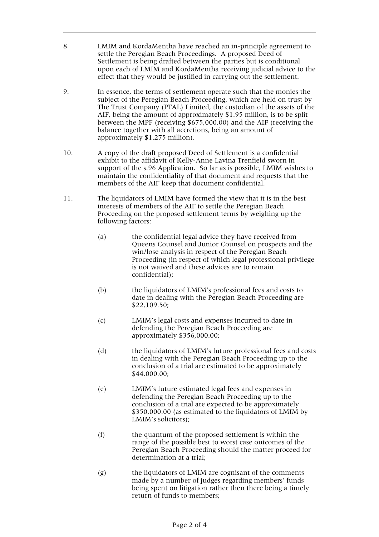- 8. LMIM and KordaMentha have reached an in-principle agreement to settle the Peregian Beach Proceedings. A proposed Deed of Settlement is being drafted between the parties but is conditional upon each of LMIM and KordaMentha receiving judicial advice to the effect that they would be justified in carrying out the settlement.
- 9. In essence, the terms of settlement operate such that the monies the subject of the Peregian Beach Proceeding, which are held on trust by The Trust Company (PTAL) Limited, the custodian of the assets of the AIF, being the amount of approximately \$1.95 million, is to be split between the MPF (receiving \$675,000.00) and the AIF (receiving the balance together with all accretions, being an amount of approximately \$1.275 million).
- 10. A copy of the draft proposed Deed of Settlement is a confidential exhibit to the affidavit of Kelly-Anne Lavina Trenfield sworn in support of the s.96 Application. So far as is possible, LMIM wishes to maintain the confidentiality of that document and requests that the members of the AIF keep that document confidential.
- 11. The liquidators of LMIM have formed the view that it is in the best interests of members of the AIF to settle the Peregian Beach Proceeding on the proposed settlement terms by weighing up the following factors:
	- (a) the confidential legal advice they have received from Queens Counsel and Junior Counsel on prospects and the win/lose analysis in respect of the Peregian Beach Proceeding (in respect of which legal professional privilege is not waived and these advices are to remain confidential);
	- (b) the liquidators of LMIM's professional fees and costs to date in dealing with the Peregian Beach Proceeding are \$22,109.50;
	- (c) LMIM's legal costs and expenses incurred to date in defending the Peregian Beach Proceeding are approximately \$356,000.00;
	- (d) the liquidators of LMIM's future professional fees and costs in dealing with the Peregian Beach Proceeding up to the conclusion of a trial are estimated to be approximately \$44,000.00;
	- (e) LMIM's future estimated legal fees and expenses in defending the Peregian Beach Proceeding up to the conclusion of a trial are expected to be approximately \$350,000.00 (as estimated to the liquidators of LMIM by LMIM's solicitors);
	- (f) the quantum of the proposed settlement is within the range of the possible best to worst case outcomes of the Peregian Beach Proceeding should the matter proceed for determination at a trial;
	- (g) the liquidators of LMIM are cognisant of the comments made by a number of judges regarding members' funds being spent on litigation rather then there being a timely return of funds to members;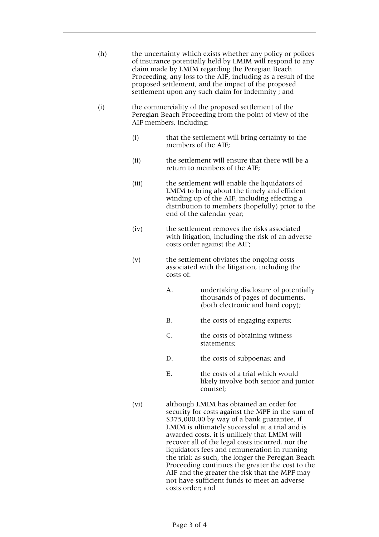| (h) | the uncertainty which exists whether any policy or polices    |
|-----|---------------------------------------------------------------|
|     | of insurance potentially held by LMIM will respond to any     |
|     | claim made by LMIM regarding the Peregian Beach               |
|     | Proceeding, any loss to the AIF, including as a result of the |
|     | proposed settlement, and the impact of the proposed           |
|     | settlement upon any such claim for indemnity; and             |

- (i) the commerciality of the proposed settlement of the Peregian Beach Proceeding from the point of view of the AIF members, including:
	- (i) that the settlement will bring certainty to the members of the AIF;
	- (ii) the settlement will ensure that there will be a return to members of the AIF;
	- (iii) the settlement will enable the liquidators of LMIM to bring about the timely and efficient winding up of the AIF, including effecting a distribution to members (hopefully) prior to the end of the calendar year;
	- (iv) the settlement removes the risks associated with litigation, including the risk of an adverse costs order against the AIF;
	- (v) the settlement obviates the ongoing costs associated with the litigation, including the costs of:
		- A. undertaking disclosure of potentially thousands of pages of documents, (both electronic and hard copy);
		- B. the costs of engaging experts;
		- C. the costs of obtaining witness statements;
		- D. the costs of subpoenas; and
		- E. the costs of a trial which would likely involve both senior and junior counsel;
	- (vi) although LMIM has obtained an order for security for costs against the MPF in the sum of \$375,000.00 by way of a bank guarantee, if LMIM is ultimately successful at a trial and is awarded costs, it is unlikely that LMIM will recover all of the legal costs incurred, nor the liquidators fees and remuneration in running the trial; as such, the longer the Peregian Beach Proceeding continues the greater the cost to the AIF and the greater the risk that the MPF may not have sufficient funds to meet an adverse costs order; and